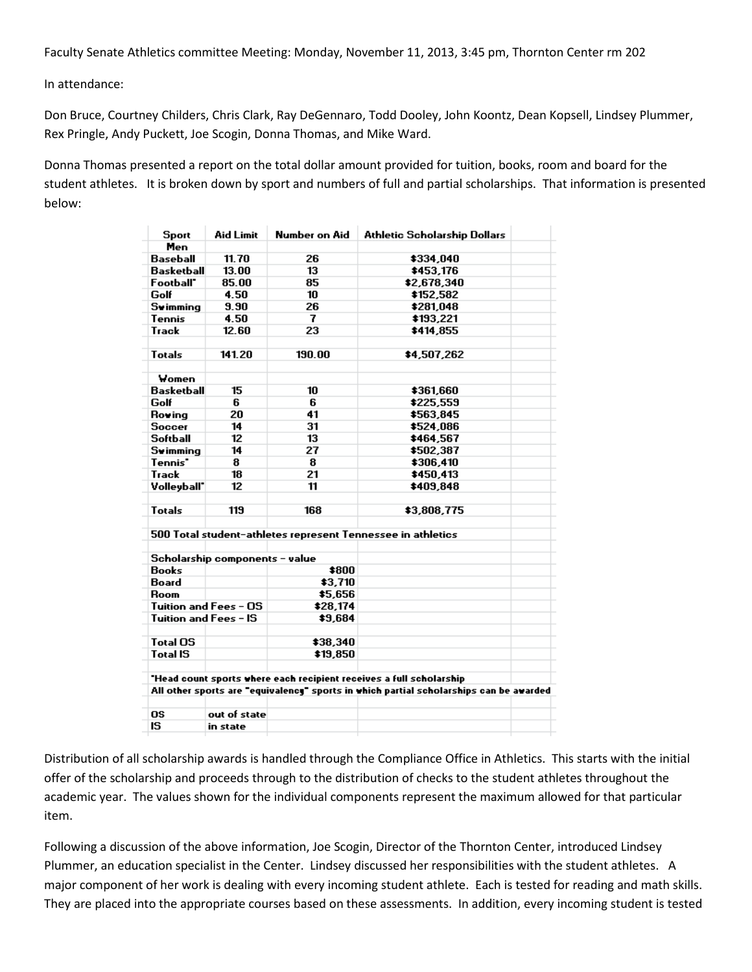Faculty Senate Athletics committee Meeting: Monday, November 11, 2013, 3:45 pm, Thornton Center rm 202

In attendance:

Don Bruce, Courtney Childers, Chris Clark, Ray DeGennaro, Todd Dooley, John Koontz, Dean Kopsell, Lindsey Plummer, Rex Pringle, Andy Puckett, Joe Scogin, Donna Thomas, and Mike Ward.

Donna Thomas presented a report on the total dollar amount provided for tuition, books, room and board for the student athletes. It is broken down by sport and numbers of full and partial scholarships. That information is presented below:

| Sport                 | <b>Aid Limit</b>               | Number on Aid | Athletic Scholarship Dollars                                                           |
|-----------------------|--------------------------------|---------------|----------------------------------------------------------------------------------------|
| Men                   |                                |               |                                                                                        |
| Baseball              | 11.70                          | 26            | \$334,040                                                                              |
| <b>Basketball</b>     | 13.00                          | 13            | \$453,176                                                                              |
| Football*             | 85.00                          | 85            | \$2,678,340                                                                            |
| Golf                  | 4.50                           | 10            | \$152,582                                                                              |
| <b>Swimming</b>       | 9.90                           | 26            | \$281,048                                                                              |
| <b>Tennis</b>         | 4.50                           | 7             | \$193,221                                                                              |
| Track                 | 12.60                          | 23            | \$414,855                                                                              |
| <b>Totals</b>         | 141.20                         | 190.00        | \$4,507,262                                                                            |
| Women                 |                                |               |                                                                                        |
| <b>Basketball</b>     | 15                             | 10            | \$361,660                                                                              |
| Golf                  | 6                              | 6             | \$225.559                                                                              |
| Roving                | 20                             | 41            | \$563.845                                                                              |
| <b>Soccer</b>         | 14                             | 31            | \$524.086                                                                              |
| <b>Softball</b>       | 12                             | 13            | \$464,567                                                                              |
| <b>Swimming</b>       | 14                             | 27            | \$502,387                                                                              |
| Tennis <sup>*</sup>   | 8                              | 8             | \$306,410                                                                              |
| Track                 | 18                             | 21            | \$450.413                                                                              |
| Volleyball"           | 12                             | 11            | \$409.848                                                                              |
| <b>Totals</b>         | 119                            | 168           | \$3,808,775                                                                            |
|                       |                                |               | 500 Total student-athletes represent Tennessee in athletics                            |
|                       | Scholarship components - value |               |                                                                                        |
| <b>Books</b>          |                                | \$800         |                                                                                        |
| Board                 |                                | \$3,710       |                                                                                        |
| Room                  |                                | \$5,656       |                                                                                        |
|                       | Tuition and Fees - OS          | \$28,174      |                                                                                        |
| Tuition and Fees - IS |                                | \$9,684       |                                                                                        |
| <b>Total OS</b>       |                                | \$38,340      |                                                                                        |
| <b>Total IS</b>       |                                | \$19,850      |                                                                                        |
|                       |                                |               | "Head count sports where each recipient receives a full scholarship                    |
|                       |                                |               | All other sports are "equivalency" sports in which partial scholarships can be awarded |
| <b>OS</b>             | out of state                   |               |                                                                                        |
| IS                    | in state                       |               |                                                                                        |

Distribution of all scholarship awards is handled through the Compliance Office in Athletics. This starts with the initial offer of the scholarship and proceeds through to the distribution of checks to the student athletes throughout the academic year. The values shown for the individual components represent the maximum allowed for that particular item.

Following a discussion of the above information, Joe Scogin, Director of the Thornton Center, introduced Lindsey Plummer, an education specialist in the Center. Lindsey discussed her responsibilities with the student athletes. A major component of her work is dealing with every incoming student athlete. Each is tested for reading and math skills. They are placed into the appropriate courses based on these assessments. In addition, every incoming student is tested